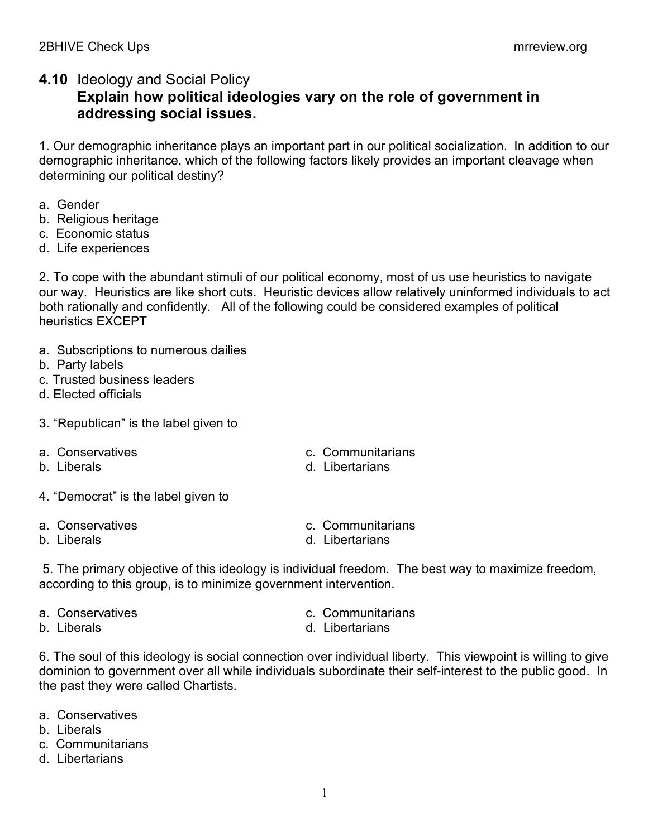## **4.10** Ideology and Social Policy **Explain how political ideologies vary on the role of government in addressing social issues.**

1. Our demographic inheritance plays an important part in our political socialization. In addition to our demographic inheritance, which of the following factors likely provides an important cleavage when determining our political destiny?

- a. Gender
- b. Religious heritage
- c. Economic status
- d. Life experiences

2. To cope with the abundant stimuli of our political economy, most of us use heuristics to navigate our way. Heuristics are like short cuts. Heuristic devices allow relatively uninformed individuals to act both rationally and confidently. All of the following could be considered examples of political heuristics EXCEPT

- a. Subscriptions to numerous dailies
- b. Party labels
- c. Trusted business leaders
- d. Elected officials
- 3. "Republican" is the label given to
- 
- 
- a. Conservatives c. Communitarians
- b. Liberals **b.** Libertarians
- 4. "Democrat" is the label given to
- 
- 
- a. Conservatives c. Communitarians
- b. Liberals and the contract of the contract of the contract of the contract of the contract of the contract of the contract of the contract of the contract of the contract of the contract of the contract of the contract o

5. The primary objective of this ideology is individual freedom. The best way to maximize freedom, according to this group, is to minimize government intervention.

- 
- 
- a. Conservatives c. Communitarians
- b. Liberals **b.** Libertarians

6. The soul of this ideology is social connection over individual liberty. This viewpoint is willing to give dominion to government over all while individuals subordinate their self-interest to the public good. In the past they were called Chartists.

- a. Conservatives
- b. Liberals
- c. Communitarians
- d. Libertarians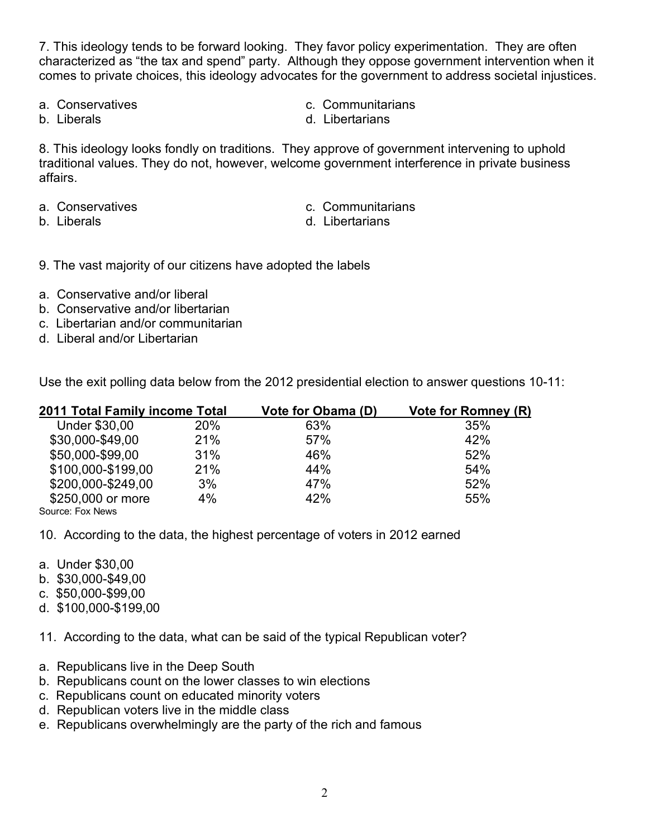7. This ideology tends to be forward looking. They favor policy experimentation. They are often characterized as "the tax and spend" party. Although they oppose government intervention when it comes to private choices, this ideology advocates for the government to address societal injustices.

- 
- a. Conservatives c. Communitarians
- 
- b. Liberals **b.** Libertarians

8. This ideology looks fondly on traditions. They approve of government intervening to uphold traditional values. They do not, however, welcome government interference in private business affairs.

- a. Conservatives c. Communitarians
- 
- 
- b. Liberals **b.** Libertarians

9. The vast majority of our citizens have adopted the labels

- a. Conservative and/or liberal
- b. Conservative and/or libertarian
- c. Libertarian and/or communitarian
- d. Liberal and/or Libertarian

Use the exit polling data below from the 2012 presidential election to answer questions 10-11:

| <b>2011 Total Family income Total</b> |     | Vote for Obama (D) | <b>Vote for Romney (R)</b> |
|---------------------------------------|-----|--------------------|----------------------------|
| Under \$30,00                         | 20% | 63%                | 35%                        |
| \$30,000-\$49,00                      | 21% | 57%                | 42%                        |
| \$50,000-\$99,00                      | 31% | 46%                | 52%                        |
| \$100,000-\$199,00                    | 21% | 44%                | 54%                        |
| \$200,000-\$249,00                    | 3%  | 47%                | 52%                        |
| \$250,000 or more                     | 4%  | 42%                | 55%                        |
| Source: Fox News                      |     |                    |                            |

10. According to the data, the highest percentage of voters in 2012 earned

- a. Under \$30,00
- b. \$30,000-\$49,00
- c. \$50,000-\$99,00
- d. \$100,000-\$199,00

11. According to the data, what can be said of the typical Republican voter?

- a. Republicans live in the Deep South
- b. Republicans count on the lower classes to win elections
- c. Republicans count on educated minority voters
- d. Republican voters live in the middle class
- e. Republicans overwhelmingly are the party of the rich and famous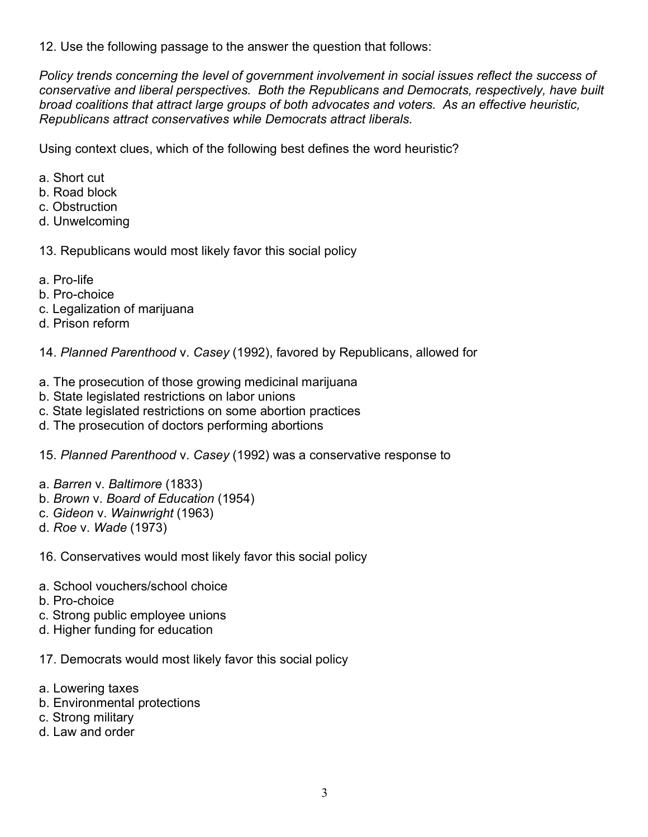12. Use the following passage to the answer the question that follows:

*Policy trends concerning the level of government involvement in social issues reflect the success of conservative and liberal perspectives. Both the Republicans and Democrats, respectively, have built broad coalitions that attract large groups of both advocates and voters. As an effective heuristic, Republicans attract conservatives while Democrats attract liberals.* 

Using context clues, which of the following best defines the word heuristic?

- a. Short cut
- b. Road block
- c. Obstruction
- d. Unwelcoming

13. Republicans would most likely favor this social policy

- a. Pro-life
- b. Pro-choice
- c. Legalization of marijuana
- d. Prison reform

14. *Planned Parenthood* v. *Casey* (1992), favored by Republicans, allowed for

- a. The prosecution of those growing medicinal marijuana
- b. State legislated restrictions on labor unions
- c. State legislated restrictions on some abortion practices
- d. The prosecution of doctors performing abortions

15. *Planned Parenthood* v. *Casey* (1992) was a conservative response to

- a. *Barren* v. *Baltimore* (1833)
- b. *Brown* v. *Board of Education* (1954)
- c. *Gideon* v. *Wainwright* (1963)
- d. *Roe* v. *Wade* (1973)

16. Conservatives would most likely favor this social policy

- a. School vouchers/school choice
- b. Pro-choice
- c. Strong public employee unions
- d. Higher funding for education
- 17. Democrats would most likely favor this social policy
- a. Lowering taxes
- b. Environmental protections
- c. Strong military
- d. Law and order